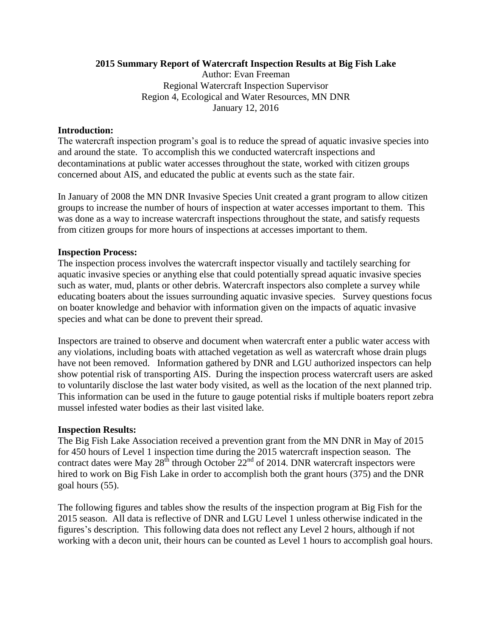## **2015 Summary Report of Watercraft Inspection Results at Big Fish Lake**

Author: Evan Freeman Regional Watercraft Inspection Supervisor Region 4, Ecological and Water Resources, MN DNR January 12, 2016

## **Introduction:**

The watercraft inspection program's goal is to reduce the spread of aquatic invasive species into and around the state. To accomplish this we conducted watercraft inspections and decontaminations at public water accesses throughout the state, worked with citizen groups concerned about AIS, and educated the public at events such as the state fair.

In January of 2008 the MN DNR Invasive Species Unit created a grant program to allow citizen groups to increase the number of hours of inspection at water accesses important to them. This was done as a way to increase watercraft inspections throughout the state, and satisfy requests from citizen groups for more hours of inspections at accesses important to them.

## **Inspection Process:**

The inspection process involves the watercraft inspector visually and tactilely searching for aquatic invasive species or anything else that could potentially spread aquatic invasive species such as water, mud, plants or other debris. Watercraft inspectors also complete a survey while educating boaters about the issues surrounding aquatic invasive species. Survey questions focus on boater knowledge and behavior with information given on the impacts of aquatic invasive species and what can be done to prevent their spread.

Inspectors are trained to observe and document when watercraft enter a public water access with any violations, including boats with attached vegetation as well as watercraft whose drain plugs have not been removed. Information gathered by DNR and LGU authorized inspectors can help show potential risk of transporting AIS. During the inspection process watercraft users are asked to voluntarily disclose the last water body visited, as well as the location of the next planned trip. This information can be used in the future to gauge potential risks if multiple boaters report zebra mussel infested water bodies as their last visited lake.

## **Inspection Results:**

The Big Fish Lake Association received a prevention grant from the MN DNR in May of 2015 for 450 hours of Level 1 inspection time during the 2015 watercraft inspection season. The contract dates were May  $28<sup>th</sup>$  through October  $22<sup>nd</sup>$  of 2014. DNR watercraft inspectors were hired to work on Big Fish Lake in order to accomplish both the grant hours (375) and the DNR goal hours (55).

The following figures and tables show the results of the inspection program at Big Fish for the 2015 season. All data is reflective of DNR and LGU Level 1 unless otherwise indicated in the figures's description. This following data does not reflect any Level 2 hours, although if not working with a decon unit, their hours can be counted as Level 1 hours to accomplish goal hours.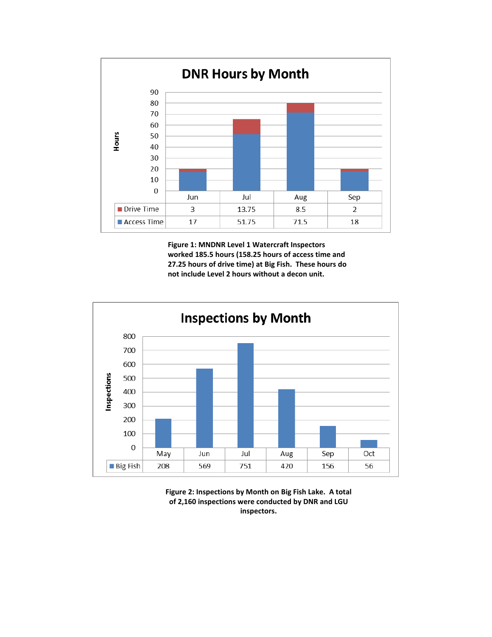

**Figure 1: MNDNR Level 1 Watercraft Inspectors worked 185.5 hours (158.25 hours of access time and 27.25 hours of drive time) at Big Fish. These hours do not include Level 2 hours without a decon unit.**



**Figure 2: Inspections by Month on Big Fish Lake. A total of 2,160 inspections were conducted by DNR and LGU inspectors.**